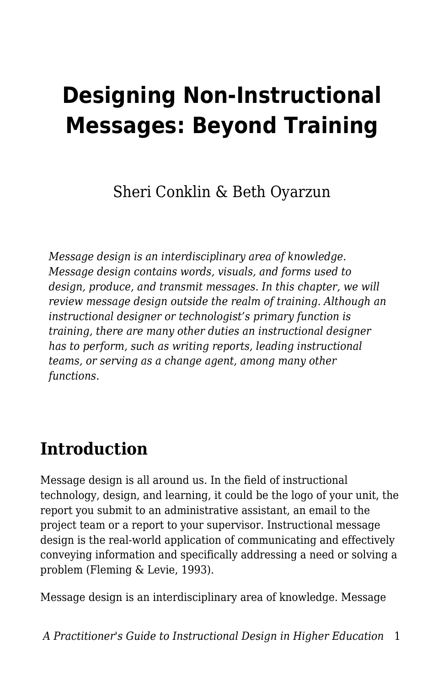# **Designing Non-Instructional Messages: Beyond Training**

Sheri Conklin & Beth Oyarzun

*Message design is an interdisciplinary area of knowledge. Message design contains words, visuals, and forms used to design, produce, and transmit messages. In this chapter, we will review message design outside the realm of training. Although an instructional designer or technologist's primary function is training, there are many other duties an instructional designer has to perform, such as writing reports, leading instructional teams, or serving as a change agent, among many other functions.*

### **Introduction**

Message design is all around us. In the field of instructional technology, design, and learning, it could be the logo of your unit, the report you submit to an administrative assistant, an email to the project team or a report to your supervisor. Instructional message design is the real-world application of communicating and effectively conveying information and specifically addressing a need or solving a problem (Fleming & Levie, 1993).

Message design is an interdisciplinary area of knowledge. Message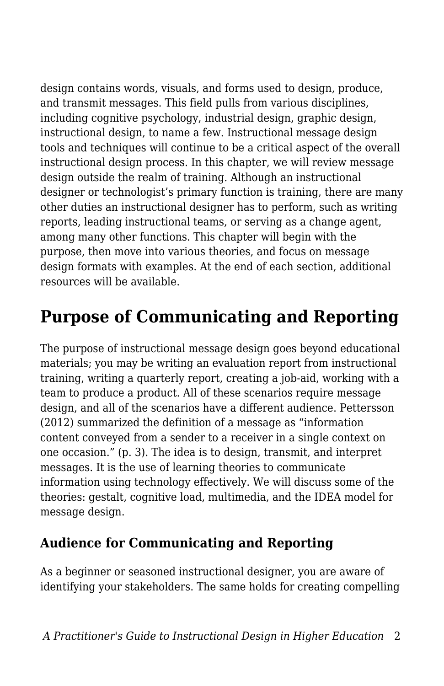design contains words, visuals, and forms used to design, produce, and transmit messages. This field pulls from various disciplines, including cognitive psychology, industrial design, graphic design, instructional design, to name a few. Instructional message design tools and techniques will continue to be a critical aspect of the overall instructional design process. In this chapter, we will review message design outside the realm of training. Although an instructional designer or technologist's primary function is training, there are many other duties an instructional designer has to perform, such as writing reports, leading instructional teams, or serving as a change agent, among many other functions. This chapter will begin with the purpose, then move into various theories, and focus on message design formats with examples. At the end of each section, additional resources will be available.

### **Purpose of Communicating and Reporting**

The purpose of instructional message design goes beyond educational materials; you may be writing an evaluation report from instructional training, writing a quarterly report, creating a job-aid, working with a team to produce a product. All of these scenarios require message design, and all of the scenarios have a different audience. Pettersson (2012) summarized the definition of a message as "information content conveyed from a sender to a receiver in a single context on one occasion." (p. 3). The idea is to design, transmit, and interpret messages. It is the use of learning theories to communicate information using technology effectively. We will discuss some of the theories: gestalt, cognitive load, multimedia, and the IDEA model for message design.

#### **Audience for Communicating and Reporting**

As a beginner or seasoned instructional designer, you are aware of identifying your stakeholders. The same holds for creating compelling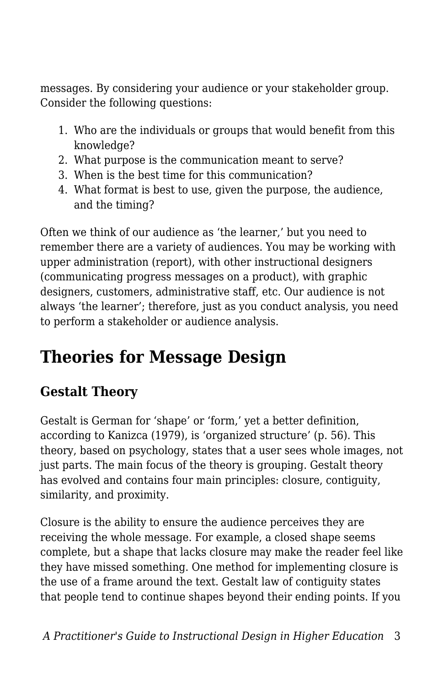messages. By considering your audience or your stakeholder group. Consider the following questions:

- 1. Who are the individuals or groups that would benefit from this knowledge?
- 2. What purpose is the communication meant to serve?
- 3. When is the best time for this communication?
- 4. What format is best to use, given the purpose, the audience, and the timing?

Often we think of our audience as 'the learner,' but you need to remember there are a variety of audiences. You may be working with upper administration (report), with other instructional designers (communicating progress messages on a product), with graphic designers, customers, administrative staff, etc. Our audience is not always 'the learner'; therefore, just as you conduct analysis, you need to perform a stakeholder or audience analysis.

# **Theories for Message Design**

### **Gestalt Theory**

Gestalt is German for 'shape' or 'form,' yet a better definition, according to Kanizca (1979), is 'organized structure' (p. 56). This theory, based on psychology, states that a user sees whole images, not just parts. The main focus of the theory is grouping. Gestalt theory has evolved and contains four main principles: closure, contiguity, similarity, and proximity.

Closure is the ability to ensure the audience perceives they are receiving the whole message. For example, a closed shape seems complete, but a shape that lacks closure may make the reader feel like they have missed something. One method for implementing closure is the use of a frame around the text. Gestalt law of contiguity states that people tend to continue shapes beyond their ending points. If you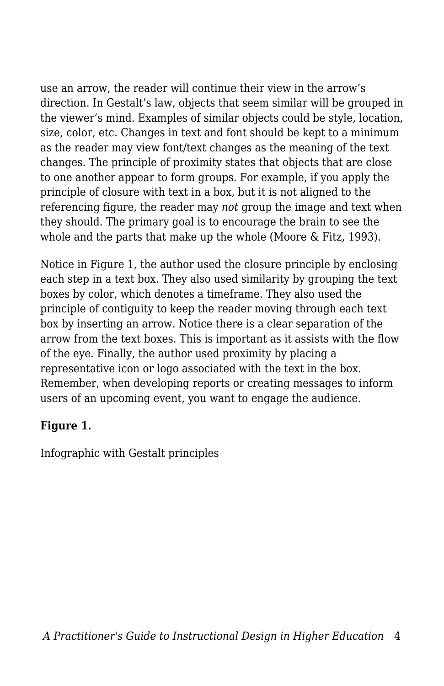use an arrow, the reader will continue their view in the arrow's direction. In Gestalt's law, objects that seem similar will be grouped in the viewer's mind. Examples of similar objects could be style, location, size, color, etc. Changes in text and font should be kept to a minimum as the reader may view font/text changes as the meaning of the text changes. The principle of proximity states that objects that are close to one another appear to form groups. For example, if you apply the principle of closure with text in a box, but it is not aligned to the referencing figure, the reader may *not* group the image and text when they should. The primary goal is to encourage the brain to see the whole and the parts that make up the whole (Moore & Fitz, 1993).

Notice in Figure 1, the author used the closure principle by enclosing each step in a text box. They also used similarity by grouping the text boxes by color, which denotes a timeframe. They also used the principle of contiguity to keep the reader moving through each text box by inserting an arrow. Notice there is a clear separation of the arrow from the text boxes. This is important as it assists with the flow of the eye. Finally, the author used proximity by placing a representative icon or logo associated with the text in the box. Remember, when developing reports or creating messages to inform users of an upcoming event, you want to engage the audience.

#### **Figure 1.**

Infographic with Gestalt principles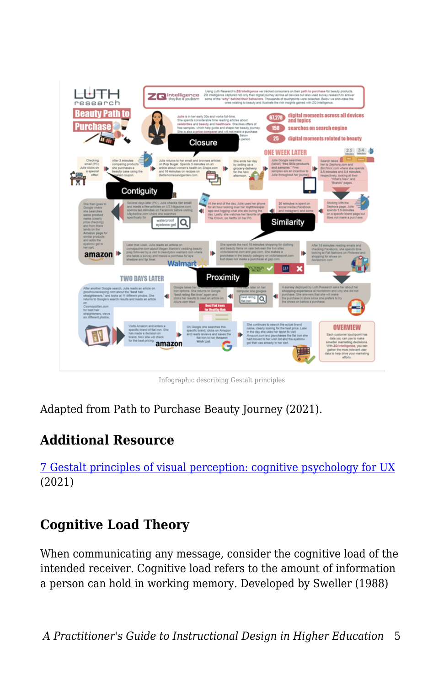

Infographic describing Gestalt principles

Adapted from Path to Purchase Beauty Journey (2021).

#### **Additional Resource**

[7 Gestalt principles of visual perception: cognitive psychology for UX](https://www.usertesting.com/blog/gestalt-principles) (2021)

#### **Cognitive Load Theory**

When communicating any message, consider the cognitive load of the intended receiver. Cognitive load refers to the amount of information a person can hold in working memory. Developed by Sweller (1988)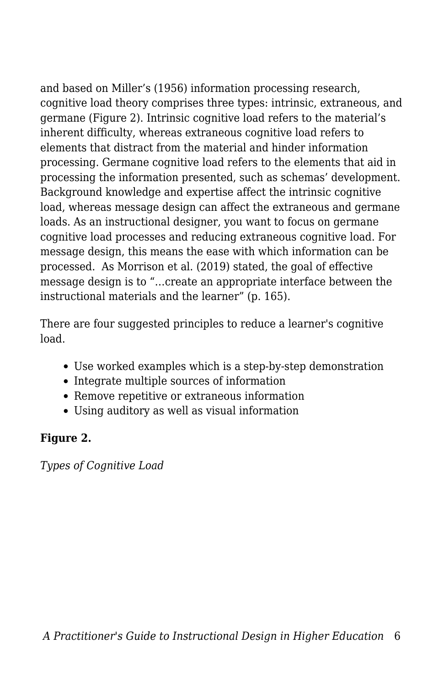and based on Miller's (1956) information processing research, cognitive load theory comprises three types: intrinsic, extraneous, and germane (Figure 2). Intrinsic cognitive load refers to the material's inherent difficulty, whereas extraneous cognitive load refers to elements that distract from the material and hinder information processing. Germane cognitive load refers to the elements that aid in processing the information presented, such as schemas' development. Background knowledge and expertise affect the intrinsic cognitive load, whereas message design can affect the extraneous and germane loads. As an instructional designer, you want to focus on germane cognitive load processes and reducing extraneous cognitive load. For message design, this means the ease with which information can be processed. As Morrison et al. (2019) stated, the goal of effective message design is to "…create an appropriate interface between the instructional materials and the learner" (p. 165).

There are four suggested principles to reduce a learner's cognitive load.

- Use worked examples which is a step-by-step demonstration
- Integrate multiple sources of information
- Remove repetitive or extraneous information
- Using auditory as well as visual information

#### **Figure 2.**

*Types of Cognitive Load*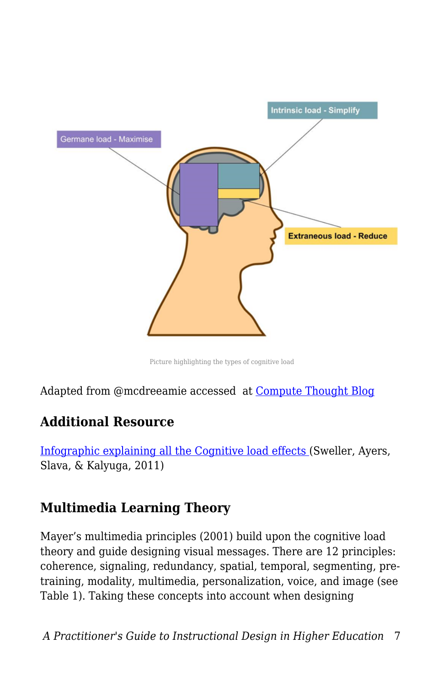

Picture highlighting the types of cognitive load

Adapted from @mcdreeamie accessed at [Compute Thought Blog](https://computethought.blog/2020/05/18/cognitive-load-and-coding/)

#### **Additional Resource**

[Infographic explaining all the Cognitive load effects \(](https://teachinghow2s.com/faq/cognitive-load-theory)Sweller, Ayers, Slava, & Kalyuga, 2011)

#### **Multimedia Learning Theory**

Mayer's multimedia principles (2001) build upon the cognitive load theory and guide designing visual messages. There are 12 principles: coherence, signaling, redundancy, spatial, temporal, segmenting, pretraining, modality, multimedia, personalization, voice, and image (see Table 1). Taking these concepts into account when designing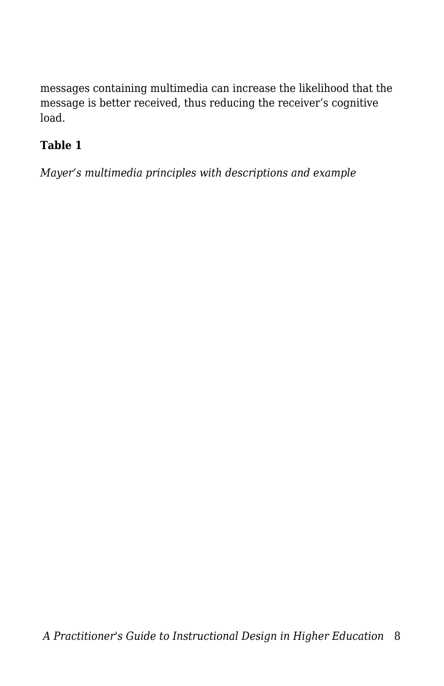messages containing multimedia can increase the likelihood that the message is better received, thus reducing the receiver's cognitive load.

#### **Table 1**

*Mayer's multimedia principles with descriptions and example*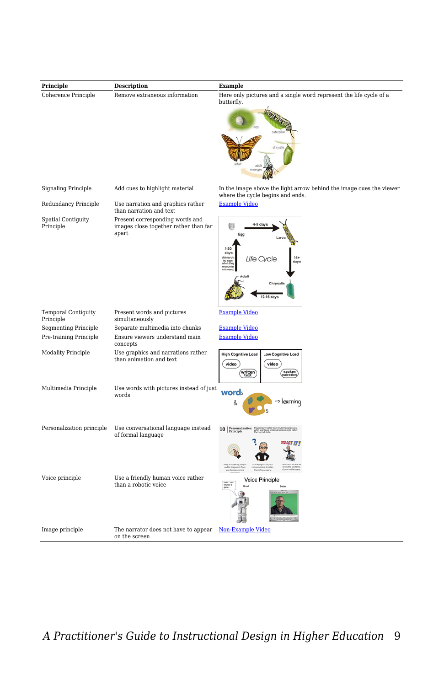| Principle                               | <b>Description</b>                                                                | <b>Example</b>                                                                                          |
|-----------------------------------------|-----------------------------------------------------------------------------------|---------------------------------------------------------------------------------------------------------|
| Coherence Principle                     | Remove extraneous information                                                     | Here only pictures and a single word represent the life cycle of a<br>butterfly.                        |
|                                         |                                                                                   |                                                                                                         |
|                                         |                                                                                   |                                                                                                         |
| <b>Signaling Principle</b>              | Add cues to highlight material                                                    | In the image above the light arrow behind the image cues the viewer<br>where the cycle begins and ends. |
| Redundancy Principle                    | Use narration and graphics rather<br>than narration and text                      | <b>Example Video</b>                                                                                    |
| Spatial Contiguity<br>Principle         | Present corresponding words and<br>images close together rather than far<br>apart | 4-5 day<br>Eac                                                                                          |
|                                         |                                                                                   | $1-30$<br>day<br><b>Life Cvcle</b>                                                                      |
|                                         |                                                                                   | Chrysall<br>12-16 days                                                                                  |
| <b>Temporal Contiguity</b><br>Principle | Present words and pictures<br>simultaneously                                      | <b>Example Video</b>                                                                                    |
| <b>Segmenting Principle</b>             | Separate multimedia into chunks                                                   | <b>Example Video</b>                                                                                    |
| Pre-training Principle                  | Ensure viewers understand main<br>concepts                                        | <b>Example Video</b>                                                                                    |
| Modality Principle                      | Use graphics and narrations rather<br>than animation and text                     | <b>High Cognitive Load</b><br><b>Low Cognitive Load</b><br>video<br>video<br>written<br>spoken          |
| Multimedia Principle                    | Use words with pictures instead of just<br>words                                  | words<br>> learning<br>Å                                                                                |
| Personalization principle               | Use conversational language instead<br>of formal language                         | 10 Personalizati                                                                                        |
|                                         |                                                                                   |                                                                                                         |
| Voice principle                         | Use a friendly human voice rather<br>than a robotic voice                         | <b>Voice Principle</b>                                                                                  |
| Image principle                         | The narrator does not have to appear<br>on the screen                             | <b>Non-Example Video</b>                                                                                |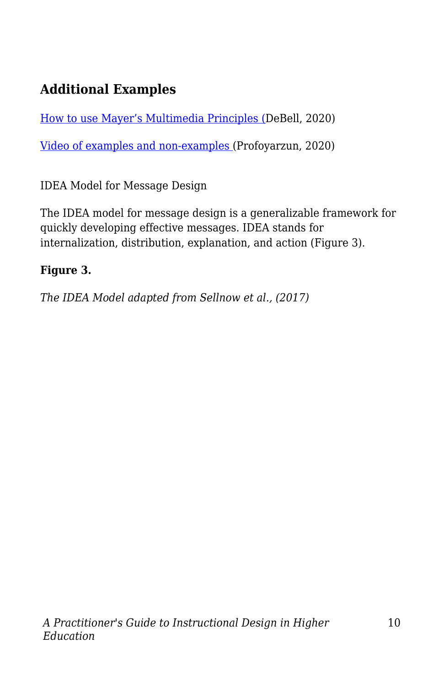### **Additional Examples**

[How to use Mayer's Multimedia Principles \(D](https://waterbearlearning.com/mayers-principles-multimedia-learning/)eBell, 2020)

[Video of examples and non-examples \(](https://www.youtube.com/watch?v=7QnGHXBMNKg)Profoyarzun, 2020)

IDEA Model for Message Design

The IDEA model for message design is a generalizable framework for quickly developing effective messages. IDEA stands for internalization, distribution, explanation, and action (Figure 3).

#### **Figure 3.**

*The IDEA Model adapted from Sellnow et al., (2017)*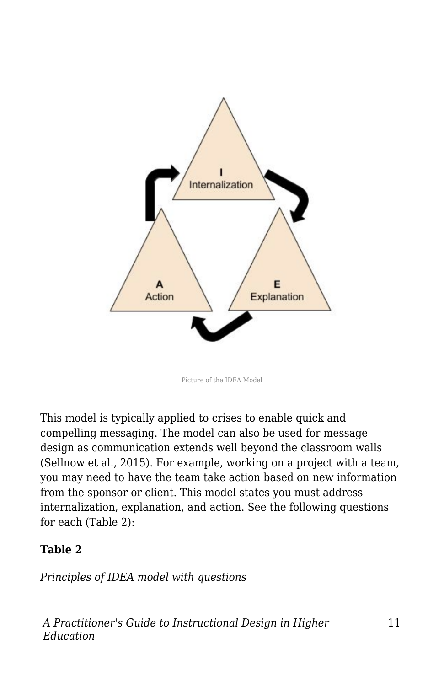

Picture of the IDEA Model

This model is typically applied to crises to enable quick and compelling messaging. The model can also be used for message design as communication extends well beyond the classroom walls (Sellnow et al., 2015). For example, working on a project with a team, you may need to have the team take action based on new information from the sponsor or client. This model states you must address internalization, explanation, and action. See the following questions for each (Table 2):

#### **Table 2**

*Principles of IDEA model with questions*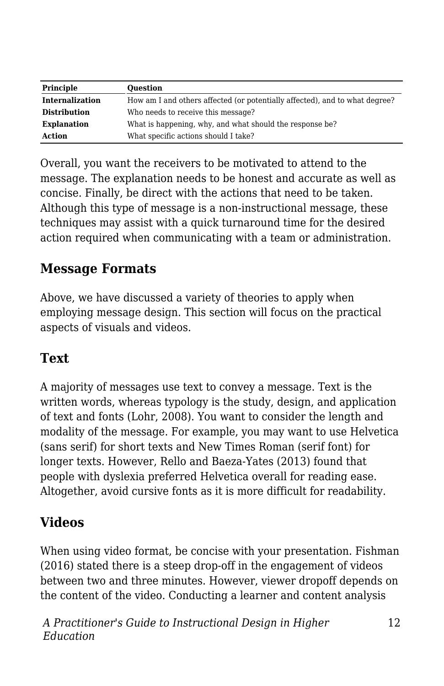| Principle              | <b>Ouestion</b>                                                             |  |
|------------------------|-----------------------------------------------------------------------------|--|
| <b>Internalization</b> | How am I and others affected (or potentially affected), and to what degree? |  |
| <b>Distribution</b>    | Who needs to receive this message?                                          |  |
| <b>Explanation</b>     | What is happening, why, and what should the response be?                    |  |
| <b>Action</b>          | What specific actions should I take?                                        |  |

Overall, you want the receivers to be motivated to attend to the message. The explanation needs to be honest and accurate as well as concise. Finally, be direct with the actions that need to be taken. Although this type of message is a non-instructional message, these techniques may assist with a quick turnaround time for the desired action required when communicating with a team or administration.

#### **Message Formats**

Above, we have discussed a variety of theories to apply when employing message design. This section will focus on the practical aspects of visuals and videos.

#### **Text**

A majority of messages use text to convey a message. Text is the written words, whereas typology is the study, design, and application of text and fonts (Lohr, 2008). You want to consider the length and modality of the message. For example, you may want to use Helvetica (sans serif) for short texts and New Times Roman (serif font) for longer texts. However, Rello and Baeza-Yates (2013) found that people with dyslexia preferred Helvetica overall for reading ease. Altogether, avoid cursive fonts as it is more difficult for readability.

#### **Videos**

When using video format, be concise with your presentation. Fishman (2016) stated there is a steep drop-off in the engagement of videos between two and three minutes. However, viewer dropoff depends on the content of the video. Conducting a learner and content analysis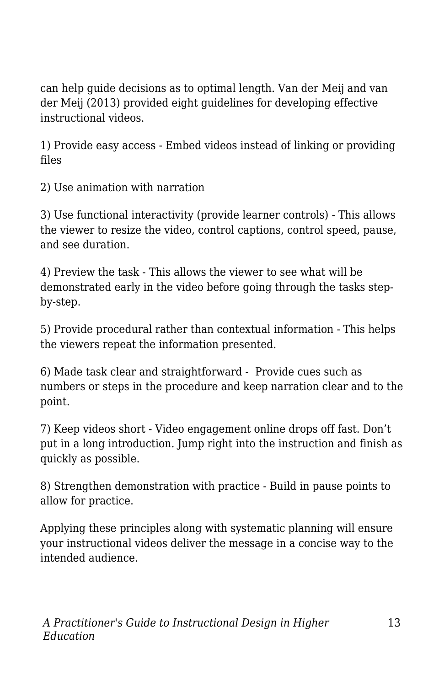can help guide decisions as to optimal length. Van der Meij and van der Meij (2013) provided eight guidelines for developing effective instructional videos.

1) Provide easy access - Embed videos instead of linking or providing files

2) Use animation with narration

3) Use functional interactivity (provide learner controls) - This allows the viewer to resize the video, control captions, control speed, pause, and see duration.

4) Preview the task - This allows the viewer to see what will be demonstrated early in the video before going through the tasks stepby-step.

5) Provide procedural rather than contextual information - This helps the viewers repeat the information presented.

6) Made task clear and straightforward - Provide cues such as numbers or steps in the procedure and keep narration clear and to the point.

7) Keep videos short - Video engagement online drops off fast. Don't put in a long introduction. Jump right into the instruction and finish as quickly as possible.

8) Strengthen demonstration with practice - Build in pause points to allow for practice.

Applying these principles along with systematic planning will ensure your instructional videos deliver the message in a concise way to the intended audience.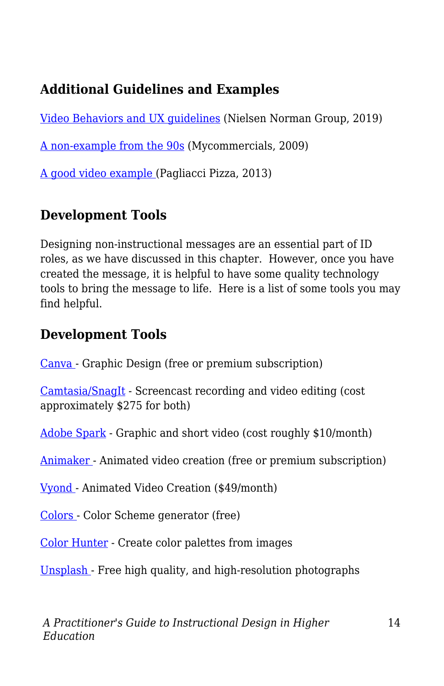### **Additional Guidelines and Examples**

[Video Behaviors and UX guidelines](https://www.nngroup.com/articles/instructional-video-guidelines/) (Nielsen Norman Group, 2019)

[A non-example from the 90s](https://www.youtube.com/watch?v=1npzZu83AfU&t=18s) (Mycommercials, 2009)

[A good video example](https://www.youtube.com/watch?v=VIJlRXMfW50&t=140s) (Pagliacci Pizza, 2013)

#### **Development Tools**

Designing non-instructional messages are an essential part of ID roles, as we have discussed in this chapter. However, once you have created the message, it is helpful to have some quality technology tools to bring the message to life. Here is a list of some tools you may find helpful.

#### **Development Tools**

[Canva](https://www.canva.com/) - Graphic Design (free or premium subscription)

[Camtasia/SnagIt](https://www.techsmith.com/video-editor.html) - Screencast recording and video editing (cost approximately \$275 for both)

[Adobe Spark](https://www.adobe.com/express/) - Graphic and short video (cost roughly \$10/month)

[Animaker](https://www.animaker.com/) - Animated video creation (free or premium subscription)

[Vyond](https://www.vyond.com/) - Animated Video Creation (\$49/month)

[Colors](https://coolors.co/) - Color Scheme generator (free)

[Color Hunter](http://www.colorhunter.com/) - Create color palettes from images

[Unsplash](https://unsplash.com/) - Free high quality, and high-resolution photographs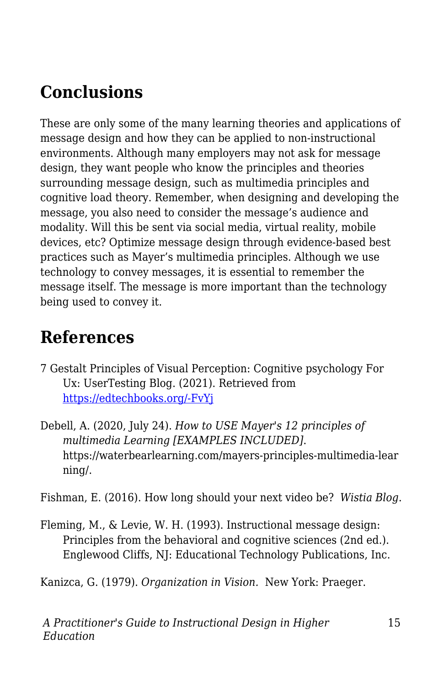# **Conclusions**

These are only some of the many learning theories and applications of message design and how they can be applied to non-instructional environments. Although many employers may not ask for message design, they want people who know the principles and theories surrounding message design, such as multimedia principles and cognitive load theory. Remember, when designing and developing the message, you also need to consider the message's audience and modality. Will this be sent via social media, virtual reality, mobile devices, etc? Optimize message design through evidence-based best practices such as Mayer's multimedia principles. Although we use technology to convey messages, it is essential to remember the message itself. The message is more important than the technology being used to convey it.

## **References**

- 7 Gestalt Principles of Visual Perception: Cognitive psychology For Ux: UserTesting Blog. (2021). Retrieved from [https://edtechbooks.org/-FvYj](https://www.usertesting.com/blog/gestalt-principles)
- Debell, A. (2020, July 24). *How to USE Mayer's 12 principles of multimedia Learning [EXAMPLES INCLUDED]*. https://waterbearlearning.com/mayers-principles-multimedia-lear ning/.

Fishman, E. (2016). How long should your next video be? *Wistia Blog*.

Fleming, M., & Levie, W. H. (1993). Instructional message design: Principles from the behavioral and cognitive sciences (2nd ed.). Englewood Cliffs, NJ: Educational Technology Publications, Inc.

Kanizca, G. (1979). *Organization in Vision.* New York: Praeger.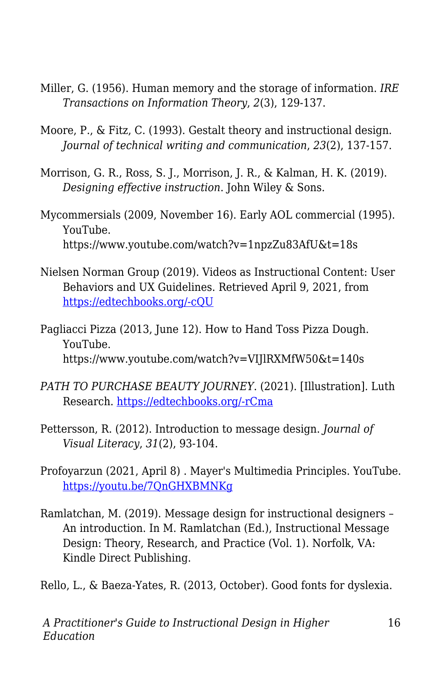- Miller, G. (1956). Human memory and the storage of information. *IRE Transactions on Information Theory*, *2*(3), 129-137.
- Moore, P., & Fitz, C. (1993). Gestalt theory and instructional design. *Journal of technical writing and communication*, *23*(2), 137-157.
- Morrison, G. R., Ross, S. J., Morrison, J. R., & Kalman, H. K. (2019). *Designing effective instruction*. John Wiley & Sons.
- Mycommersials (2009, November 16). Early AOL commercial (1995). YouTube. https://www.youtube.com/watch?v=1npzZu83AfU&t=18s
- Nielsen Norman Group (2019). Videos as Instructional Content: User Behaviors and UX Guidelines. Retrieved April 9, 2021, from [https://edtechbooks.org/-cQU](https://www.nngroup.com/articles/instructional-video-guidelines/)
- Pagliacci Pizza (2013, June 12). How to Hand Toss Pizza Dough. YouTube. https://www.youtube.com/watch?v=VIJlRXMfW50&t=140s
- *PATH TO PURCHASE BEAUTY JOURNEY*. (2021). [Illustration]. Luth Research. [https://edtechbooks.org/-rCma](https://luthresearch.com/infographic/path-to-purchase-beauty-journey/)
- Pettersson, R. (2012). Introduction to message design. *Journal of Visual Literacy*, *31*(2), 93-104.
- Profoyarzun (2021, April 8) . Mayer's Multimedia Principles. YouTube. <https://youtu.be/7QnGHXBMNKg>
- Ramlatchan, M. (2019). Message design for instructional designers An introduction. In M. Ramlatchan (Ed.), Instructional Message Design: Theory, Research, and Practice (Vol. 1). Norfolk, VA: Kindle Direct Publishing.
- Rello, L., & Baeza-Yates, R. (2013, October). Good fonts for dyslexia.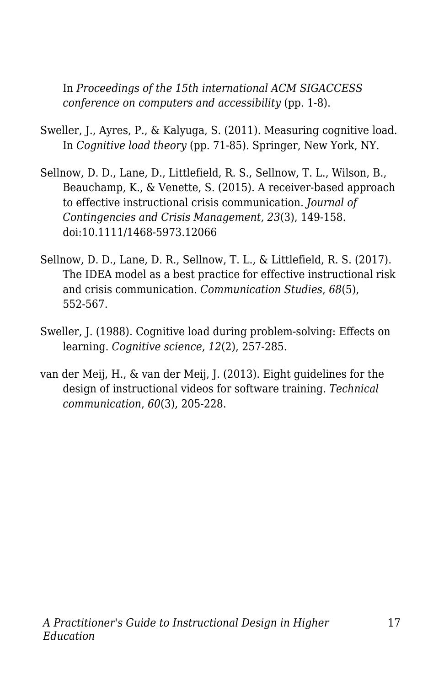In *Proceedings of the 15th international ACM SIGACCESS conference on computers and accessibility* (pp. 1-8).

- Sweller, J., Ayres, P., & Kalyuga, S. (2011). Measuring cognitive load. In *Cognitive load theory* (pp. 71-85). Springer, New York, NY.
- Sellnow, D. D., Lane, D., Littlefield, R. S., Sellnow, T. L., Wilson, B., Beauchamp, K., & Venette, S. (2015). A receiver-based approach to effective instructional crisis communication. *Journal of Contingencies and Crisis Management, 23*(3), 149-158. doi:10.1111/1468-5973.12066
- Sellnow, D. D., Lane, D. R., Sellnow, T. L., & Littlefield, R. S. (2017). The IDEA model as a best practice for effective instructional risk and crisis communication. *Communication Studies*, *68*(5), 552-567.
- Sweller, J. (1988). Cognitive load during problem-solving: Effects on learning. *Cognitive science*, *12*(2), 257-285.
- van der Meij, H., & van der Meij, J. (2013). Eight guidelines for the design of instructional videos for software training. *Technical communication*, *60*(3), 205-228.